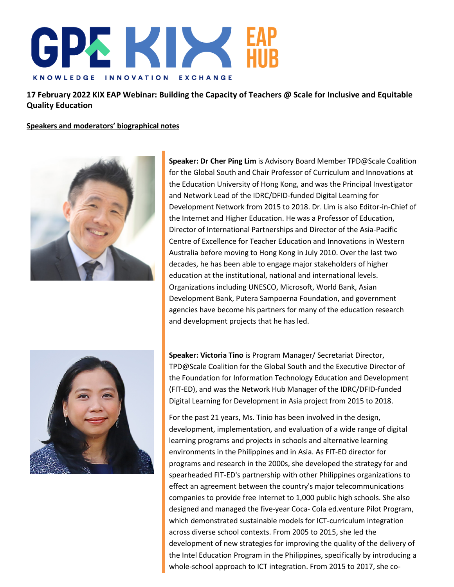

**17 February 2022 KIX EAP Webinar: Building the Capacity of Teachers @ Scale for Inclusive and Equitable Quality Education**

**Speakers and moderators' biographical notes**



**Speaker: Dr Cher Ping Lim** is Advisory Board Member TPD@Scale Coalition for the Global South and Chair Professor of Curriculum and Innovations at the Education University of Hong Kong, and was the Principal Investigator and Network Lead of the IDRC/DFID-funded Digital Learning for Development Network from 2015 to 2018. Dr. Lim is also Editor-in-Chief of the Internet and Higher Education. He was a Professor of Education, Director of International Partnerships and Director of the Asia-Pacific Centre of Excellence for Teacher Education and Innovations in Western Australia before moving to Hong Kong in July 2010. Over the last two decades, he has been able to engage major stakeholders of higher education at the institutional, national and international levels. Organizations including UNESCO, Microsoft, World Bank, Asian Development Bank, Putera Sampoerna Foundation, and government agencies have become his partners for many of the education research and development projects that he has led.



**Speaker: Victoria Tino** is Program Manager/ Secretariat Director, TPD@Scale Coalition for the Global South and the Executive Director of the Foundation for Information Technology Education and Development (FIT-ED), and was the Network Hub Manager of the IDRC/DFID-funded Digital Learning for Development in Asia project from 2015 to 2018.

For the past 21 years, Ms. Tinio has been involved in the design, development, implementation, and evaluation of a wide range of digital learning programs and projects in schools and alternative learning environments in the Philippines and in Asia. As FIT-ED director for programs and research in the 2000s, she developed the strategy for and spearheaded FIT-ED's partnership with other Philippines organizations to effect an agreement between the country's major telecommunications companies to provide free Internet to 1,000 public high schools. She also designed and managed the five-year Coca- Cola ed.venture Pilot Program, which demonstrated sustainable models for ICT-curriculum integration across diverse school contexts. From 2005 to 2015, she led the development of new strategies for improving the quality of the delivery of the Intel Education Program in the Philippines, specifically by introducing a whole-school approach to ICT integration. From 2015 to 2017, she co-